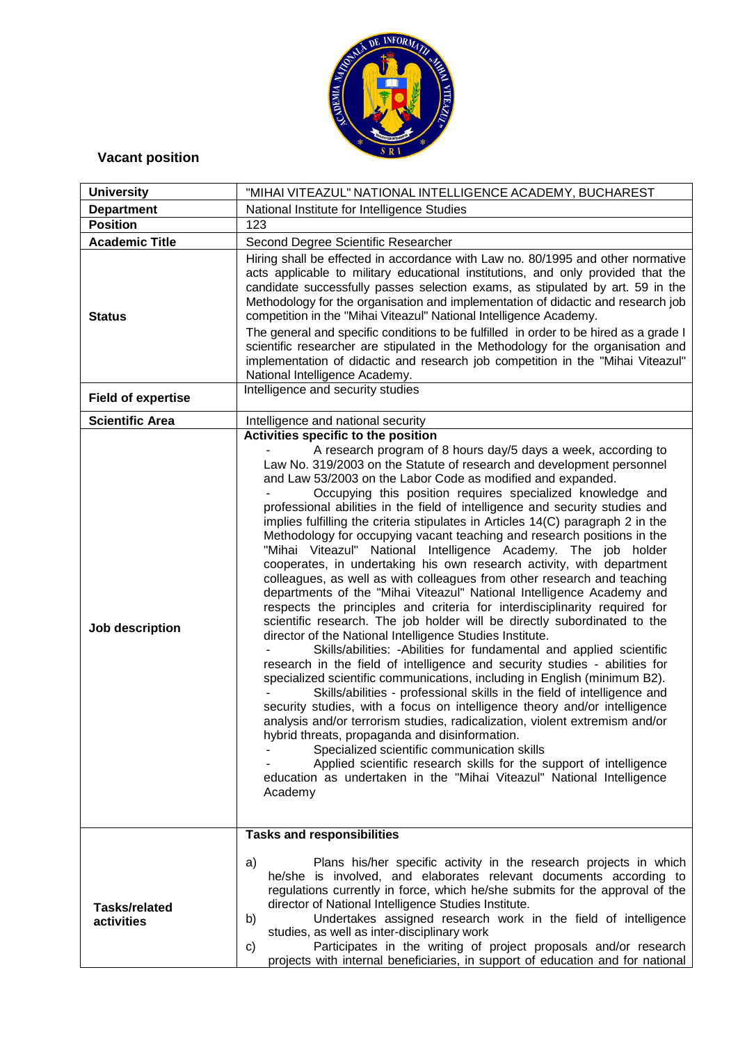

## **Vacant position**

| <b>University</b>                  | "MIHAI VITEAZUL" NATIONAL INTELLIGENCE ACADEMY, BUCHAREST                                                                                                                                                                                                                                                                                                                                                                                                                                                                                                                                                                                                                                                                                                                                                                                                                                                                                                                                                                                                                                                                                                                                                                                                                                                                                                                                                                                                                                                                                                                                                                                                                                                                                                                                                                                              |
|------------------------------------|--------------------------------------------------------------------------------------------------------------------------------------------------------------------------------------------------------------------------------------------------------------------------------------------------------------------------------------------------------------------------------------------------------------------------------------------------------------------------------------------------------------------------------------------------------------------------------------------------------------------------------------------------------------------------------------------------------------------------------------------------------------------------------------------------------------------------------------------------------------------------------------------------------------------------------------------------------------------------------------------------------------------------------------------------------------------------------------------------------------------------------------------------------------------------------------------------------------------------------------------------------------------------------------------------------------------------------------------------------------------------------------------------------------------------------------------------------------------------------------------------------------------------------------------------------------------------------------------------------------------------------------------------------------------------------------------------------------------------------------------------------------------------------------------------------------------------------------------------------|
| <b>Department</b>                  | National Institute for Intelligence Studies                                                                                                                                                                                                                                                                                                                                                                                                                                                                                                                                                                                                                                                                                                                                                                                                                                                                                                                                                                                                                                                                                                                                                                                                                                                                                                                                                                                                                                                                                                                                                                                                                                                                                                                                                                                                            |
| <b>Position</b>                    | 123                                                                                                                                                                                                                                                                                                                                                                                                                                                                                                                                                                                                                                                                                                                                                                                                                                                                                                                                                                                                                                                                                                                                                                                                                                                                                                                                                                                                                                                                                                                                                                                                                                                                                                                                                                                                                                                    |
| <b>Academic Title</b>              | Second Degree Scientific Researcher                                                                                                                                                                                                                                                                                                                                                                                                                                                                                                                                                                                                                                                                                                                                                                                                                                                                                                                                                                                                                                                                                                                                                                                                                                                                                                                                                                                                                                                                                                                                                                                                                                                                                                                                                                                                                    |
| <b>Status</b>                      | Hiring shall be effected in accordance with Law no. 80/1995 and other normative<br>acts applicable to military educational institutions, and only provided that the<br>candidate successfully passes selection exams, as stipulated by art. 59 in the<br>Methodology for the organisation and implementation of didactic and research job<br>competition in the "Mihai Viteazul" National Intelligence Academy.<br>The general and specific conditions to be fulfilled in order to be hired as a grade I<br>scientific researcher are stipulated in the Methodology for the organisation and<br>implementation of didactic and research job competition in the "Mihai Viteazul"<br>National Intelligence Academy.                                                                                                                                                                                                                                                                                                                                                                                                                                                                                                                                                                                                                                                                                                                                                                                                                                                                                                                                                                                                                                                                                                                                      |
| <b>Field of expertise</b>          | Intelligence and security studies                                                                                                                                                                                                                                                                                                                                                                                                                                                                                                                                                                                                                                                                                                                                                                                                                                                                                                                                                                                                                                                                                                                                                                                                                                                                                                                                                                                                                                                                                                                                                                                                                                                                                                                                                                                                                      |
| <b>Scientific Area</b>             | Intelligence and national security                                                                                                                                                                                                                                                                                                                                                                                                                                                                                                                                                                                                                                                                                                                                                                                                                                                                                                                                                                                                                                                                                                                                                                                                                                                                                                                                                                                                                                                                                                                                                                                                                                                                                                                                                                                                                     |
| Job description                    | Activities specific to the position<br>A research program of 8 hours day/5 days a week, according to<br>Law No. 319/2003 on the Statute of research and development personnel<br>and Law 53/2003 on the Labor Code as modified and expanded.<br>Occupying this position requires specialized knowledge and<br>professional abilities in the field of intelligence and security studies and<br>implies fulfilling the criteria stipulates in Articles 14(C) paragraph 2 in the<br>Methodology for occupying vacant teaching and research positions in the<br>"Mihai Viteazul" National Intelligence Academy. The job holder<br>cooperates, in undertaking his own research activity, with department<br>colleagues, as well as with colleagues from other research and teaching<br>departments of the "Mihai Viteazul" National Intelligence Academy and<br>respects the principles and criteria for interdisciplinarity required for<br>scientific research. The job holder will be directly subordinated to the<br>director of the National Intelligence Studies Institute.<br>Skills/abilities: - Abilities for fundamental and applied scientific<br>research in the field of intelligence and security studies - abilities for<br>specialized scientific communications, including in English (minimum B2).<br>Skills/abilities - professional skills in the field of intelligence and<br>security studies, with a focus on intelligence theory and/or intelligence<br>analysis and/or terrorism studies, radicalization, violent extremism and/or<br>hybrid threats, propaganda and disinformation.<br>Specialized scientific communication skills<br>Applied scientific research skills for the support of intelligence<br>education as undertaken in the "Mihai Viteazul" National Intelligence<br>Academy<br><b>Tasks and responsibilities</b> |
| <b>Tasks/related</b><br>activities | Plans his/her specific activity in the research projects in which<br>a)<br>he/she is involved, and elaborates relevant documents according to<br>regulations currently in force, which he/she submits for the approval of the<br>director of National Intelligence Studies Institute.<br>Undertakes assigned research work in the field of intelligence<br>b)<br>studies, as well as inter-disciplinary work<br>Participates in the writing of project proposals and/or research<br>C)<br>projects with internal beneficiaries, in support of education and for national                                                                                                                                                                                                                                                                                                                                                                                                                                                                                                                                                                                                                                                                                                                                                                                                                                                                                                                                                                                                                                                                                                                                                                                                                                                                               |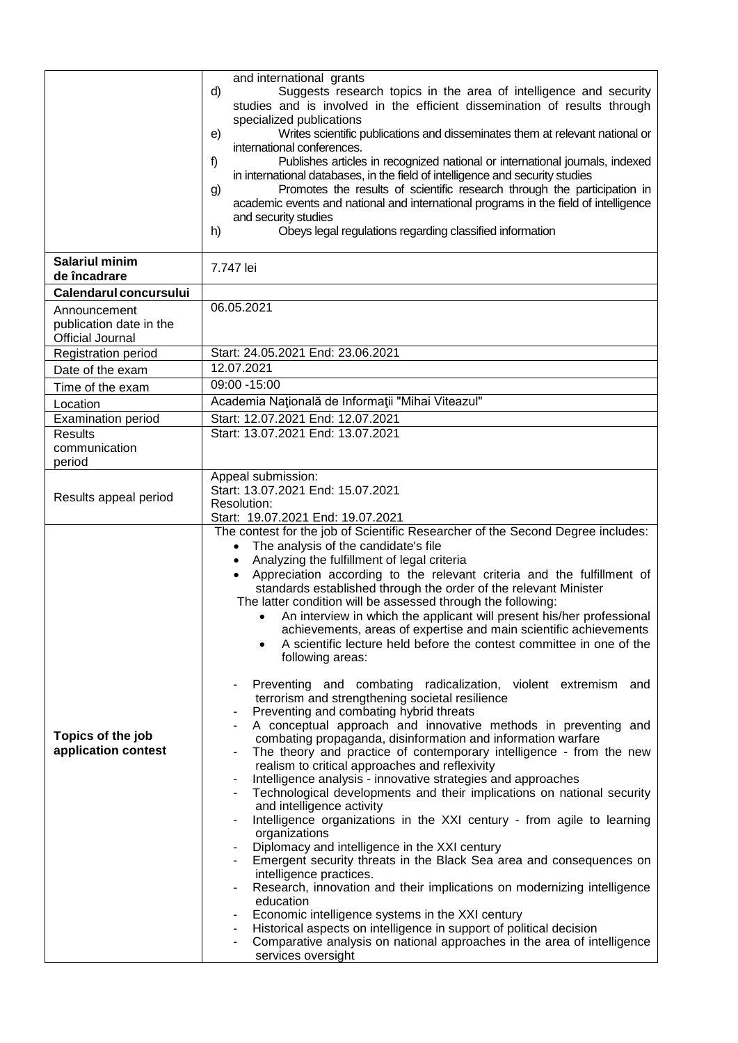|                                                                    | and international grants<br>d)<br>Suggests research topics in the area of intelligence and security<br>studies and is involved in the efficient dissemination of results through<br>specialized publications<br>Writes scientific publications and disseminates them at relevant national or<br>e)<br>international conferences.<br>Publishes articles in recognized national or international journals, indexed<br>f)<br>in international databases, in the field of intelligence and security studies<br>Promotes the results of scientific research through the participation in<br>g)<br>academic events and national and international programs in the field of intelligence<br>and security studies<br>Obeys legal regulations regarding classified information<br>h)                                                                                                                                                                                                                                                                                                                                                                                                                                                                                                                                                                                                                                                                                                                                                                                                                                                                                                                                                                                                                                                                                                        |
|--------------------------------------------------------------------|------------------------------------------------------------------------------------------------------------------------------------------------------------------------------------------------------------------------------------------------------------------------------------------------------------------------------------------------------------------------------------------------------------------------------------------------------------------------------------------------------------------------------------------------------------------------------------------------------------------------------------------------------------------------------------------------------------------------------------------------------------------------------------------------------------------------------------------------------------------------------------------------------------------------------------------------------------------------------------------------------------------------------------------------------------------------------------------------------------------------------------------------------------------------------------------------------------------------------------------------------------------------------------------------------------------------------------------------------------------------------------------------------------------------------------------------------------------------------------------------------------------------------------------------------------------------------------------------------------------------------------------------------------------------------------------------------------------------------------------------------------------------------------------------------------------------------------------------------------------------------------|
| <b>Salariul minim</b><br>de încadrare                              | 7.747 lei                                                                                                                                                                                                                                                                                                                                                                                                                                                                                                                                                                                                                                                                                                                                                                                                                                                                                                                                                                                                                                                                                                                                                                                                                                                                                                                                                                                                                                                                                                                                                                                                                                                                                                                                                                                                                                                                          |
| Calendarul concursului                                             |                                                                                                                                                                                                                                                                                                                                                                                                                                                                                                                                                                                                                                                                                                                                                                                                                                                                                                                                                                                                                                                                                                                                                                                                                                                                                                                                                                                                                                                                                                                                                                                                                                                                                                                                                                                                                                                                                    |
| Announcement<br>publication date in the<br><b>Official Journal</b> | 06.05.2021                                                                                                                                                                                                                                                                                                                                                                                                                                                                                                                                                                                                                                                                                                                                                                                                                                                                                                                                                                                                                                                                                                                                                                                                                                                                                                                                                                                                                                                                                                                                                                                                                                                                                                                                                                                                                                                                         |
| Registration period                                                | Start: 24.05.2021 End: 23.06.2021                                                                                                                                                                                                                                                                                                                                                                                                                                                                                                                                                                                                                                                                                                                                                                                                                                                                                                                                                                                                                                                                                                                                                                                                                                                                                                                                                                                                                                                                                                                                                                                                                                                                                                                                                                                                                                                  |
| Date of the exam                                                   | 12.07.2021                                                                                                                                                                                                                                                                                                                                                                                                                                                                                                                                                                                                                                                                                                                                                                                                                                                                                                                                                                                                                                                                                                                                                                                                                                                                                                                                                                                                                                                                                                                                                                                                                                                                                                                                                                                                                                                                         |
| Time of the exam                                                   | 09:00 - 15:00                                                                                                                                                                                                                                                                                                                                                                                                                                                                                                                                                                                                                                                                                                                                                                                                                                                                                                                                                                                                                                                                                                                                                                                                                                                                                                                                                                                                                                                                                                                                                                                                                                                                                                                                                                                                                                                                      |
| Location                                                           | Academia Națională de Informații "Mihai Viteazul"                                                                                                                                                                                                                                                                                                                                                                                                                                                                                                                                                                                                                                                                                                                                                                                                                                                                                                                                                                                                                                                                                                                                                                                                                                                                                                                                                                                                                                                                                                                                                                                                                                                                                                                                                                                                                                  |
| <b>Examination period</b>                                          | Start: 12.07.2021 End: 12.07.2021                                                                                                                                                                                                                                                                                                                                                                                                                                                                                                                                                                                                                                                                                                                                                                                                                                                                                                                                                                                                                                                                                                                                                                                                                                                                                                                                                                                                                                                                                                                                                                                                                                                                                                                                                                                                                                                  |
| <b>Results</b><br>communication<br>period                          | Start: 13.07.2021 End: 13.07.2021                                                                                                                                                                                                                                                                                                                                                                                                                                                                                                                                                                                                                                                                                                                                                                                                                                                                                                                                                                                                                                                                                                                                                                                                                                                                                                                                                                                                                                                                                                                                                                                                                                                                                                                                                                                                                                                  |
| Results appeal period                                              | Appeal submission:<br>Start: 13.07.2021 End: 15.07.2021<br>Resolution:<br>Start: 19.07.2021 End: 19.07.2021                                                                                                                                                                                                                                                                                                                                                                                                                                                                                                                                                                                                                                                                                                                                                                                                                                                                                                                                                                                                                                                                                                                                                                                                                                                                                                                                                                                                                                                                                                                                                                                                                                                                                                                                                                        |
| Topics of the job<br>application contest                           | The contest for the job of Scientific Researcher of the Second Degree includes:<br>The analysis of the candidate's file<br>$\bullet$<br>Analyzing the fulfillment of legal criteria<br>$\bullet$<br>Appreciation according to the relevant criteria and the fulfillment of<br>$\bullet$<br>standards established through the order of the relevant Minister<br>The latter condition will be assessed through the following:<br>An interview in which the applicant will present his/her professional<br>achievements, areas of expertise and main scientific achievements<br>A scientific lecture held before the contest committee in one of the<br>following areas:<br>Preventing and combating radicalization, violent extremism and<br>terrorism and strengthening societal resilience<br>Preventing and combating hybrid threats<br>A conceptual approach and innovative methods in preventing and<br>$\blacksquare$<br>combating propaganda, disinformation and information warfare<br>The theory and practice of contemporary intelligence - from the new<br>realism to critical approaches and reflexivity<br>Intelligence analysis - innovative strategies and approaches<br>Technological developments and their implications on national security<br>and intelligence activity<br>Intelligence organizations in the XXI century - from agile to learning<br>٠<br>organizations<br>Diplomacy and intelligence in the XXI century<br>Emergent security threats in the Black Sea area and consequences on<br>intelligence practices.<br>Research, innovation and their implications on modernizing intelligence<br>$\blacksquare$<br>education<br>Economic intelligence systems in the XXI century<br>Historical aspects on intelligence in support of political decision<br>Comparative analysis on national approaches in the area of intelligence<br>services oversight |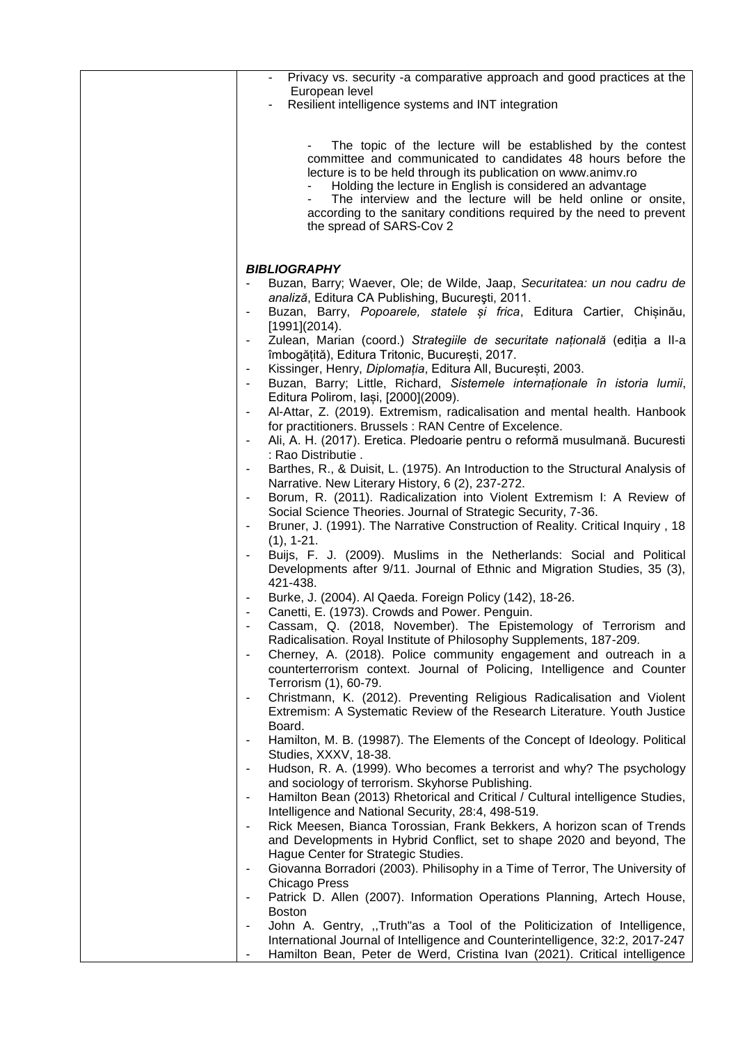| Privacy vs. security -a comparative approach and good practices at the<br>$\overline{\phantom{a}}$                                                                                                                                                                                                                                                                                                                            |
|-------------------------------------------------------------------------------------------------------------------------------------------------------------------------------------------------------------------------------------------------------------------------------------------------------------------------------------------------------------------------------------------------------------------------------|
| European level<br>Resilient intelligence systems and INT integration                                                                                                                                                                                                                                                                                                                                                          |
|                                                                                                                                                                                                                                                                                                                                                                                                                               |
| The topic of the lecture will be established by the contest<br>committee and communicated to candidates 48 hours before the<br>lecture is to be held through its publication on www.animy.ro<br>Holding the lecture in English is considered an advantage<br>The interview and the lecture will be held online or onsite,<br>according to the sanitary conditions required by the need to prevent<br>the spread of SARS-Cov 2 |
|                                                                                                                                                                                                                                                                                                                                                                                                                               |
| <b>BIBLIOGRAPHY</b><br>Buzan, Barry; Waever, Ole; de Wilde, Jaap, Securitatea: un nou cadru de<br>analiză, Editura CA Publishing, București, 2011.<br>Buzan, Barry, Popoarele, statele și frica, Editura Cartier, Chișinău,<br>$[1991](2014)$ .                                                                                                                                                                               |
| Zulean, Marian (coord.) Strategiile de securitate națională (ediția a II-a<br>îmbogățită), Editura Tritonic, București, 2017.<br>Kissinger, Henry, Diplomația, Editura All, București, 2003.<br>$\overline{\phantom{a}}$                                                                                                                                                                                                      |
| Buzan, Barry; Little, Richard, Sistemele internationale în istoria lumii,<br>Editura Polirom, Iași, [2000](2009).                                                                                                                                                                                                                                                                                                             |
| Al-Attar, Z. (2019). Extremism, radicalisation and mental health. Hanbook<br>$\qquad \qquad \blacksquare$<br>for practitioners. Brussels: RAN Centre of Excelence.                                                                                                                                                                                                                                                            |
| Ali, A. H. (2017). Eretica. Pledoarie pentru o reformă musulmană. Bucuresti<br>$\overline{\phantom{a}}$<br>: Rao Distributie.                                                                                                                                                                                                                                                                                                 |
| Barthes, R., & Duisit, L. (1975). An Introduction to the Structural Analysis of<br>$\overline{\phantom{a}}$<br>Narrative. New Literary History, 6 (2), 237-272.                                                                                                                                                                                                                                                               |
| Borum, R. (2011). Radicalization into Violent Extremism I: A Review of<br>Social Science Theories. Journal of Strategic Security, 7-36.<br>Bruner, J. (1991). The Narrative Construction of Reality. Critical Inquiry, 18                                                                                                                                                                                                     |
| $(1), 1-21.$                                                                                                                                                                                                                                                                                                                                                                                                                  |
| Buijs, F. J. (2009). Muslims in the Netherlands: Social and Political<br>Developments after 9/11. Journal of Ethnic and Migration Studies, 35 (3),<br>421-438.                                                                                                                                                                                                                                                                |
| Burke, J. (2004). Al Qaeda. Foreign Policy (142), 18-26.                                                                                                                                                                                                                                                                                                                                                                      |
| Canetti, E. (1973). Crowds and Power. Penguin.                                                                                                                                                                                                                                                                                                                                                                                |
| Cassam, Q. (2018, November). The Epistemology of Terrorism and                                                                                                                                                                                                                                                                                                                                                                |
| Radicalisation. Royal Institute of Philosophy Supplements, 187-209.<br>Cherney, A. (2018). Police community engagement and outreach in a<br>$\overline{a}$<br>counterterrorism context. Journal of Policing, Intelligence and Counter<br>Terrorism (1), 60-79.                                                                                                                                                                |
| Christmann, K. (2012). Preventing Religious Radicalisation and Violent                                                                                                                                                                                                                                                                                                                                                        |
| Extremism: A Systematic Review of the Research Literature. Youth Justice<br>Board.<br>Hamilton, M. B. (19987). The Elements of the Concept of Ideology. Political                                                                                                                                                                                                                                                             |
| Studies, XXXV, 18-38.                                                                                                                                                                                                                                                                                                                                                                                                         |
| Hudson, R. A. (1999). Who becomes a terrorist and why? The psychology<br>$\qquad \qquad \blacksquare$<br>and sociology of terrorism. Skyhorse Publishing.                                                                                                                                                                                                                                                                     |
| Hamilton Bean (2013) Rhetorical and Critical / Cultural intelligence Studies,<br>$\qquad \qquad \blacksquare$                                                                                                                                                                                                                                                                                                                 |
| Intelligence and National Security, 28:4, 498-519.<br>Rick Meesen, Bianca Torossian, Frank Bekkers, A horizon scan of Trends<br>$\qquad \qquad \blacksquare$                                                                                                                                                                                                                                                                  |
| and Developments in Hybrid Conflict, set to shape 2020 and beyond, The<br>Hague Center for Strategic Studies.                                                                                                                                                                                                                                                                                                                 |
| Giovanna Borradori (2003). Philisophy in a Time of Terror, The University of<br><b>Chicago Press</b>                                                                                                                                                                                                                                                                                                                          |
| Patrick D. Allen (2007). Information Operations Planning, Artech House,<br><b>Boston</b>                                                                                                                                                                                                                                                                                                                                      |
| John A. Gentry, "Truth"as a Tool of the Politicization of Intelligence,                                                                                                                                                                                                                                                                                                                                                       |
| International Journal of Intelligence and Counterintelligence, 32:2, 2017-247<br>Hamilton Bean, Peter de Werd, Cristina Ivan (2021). Critical intelligence<br>$\blacksquare$                                                                                                                                                                                                                                                  |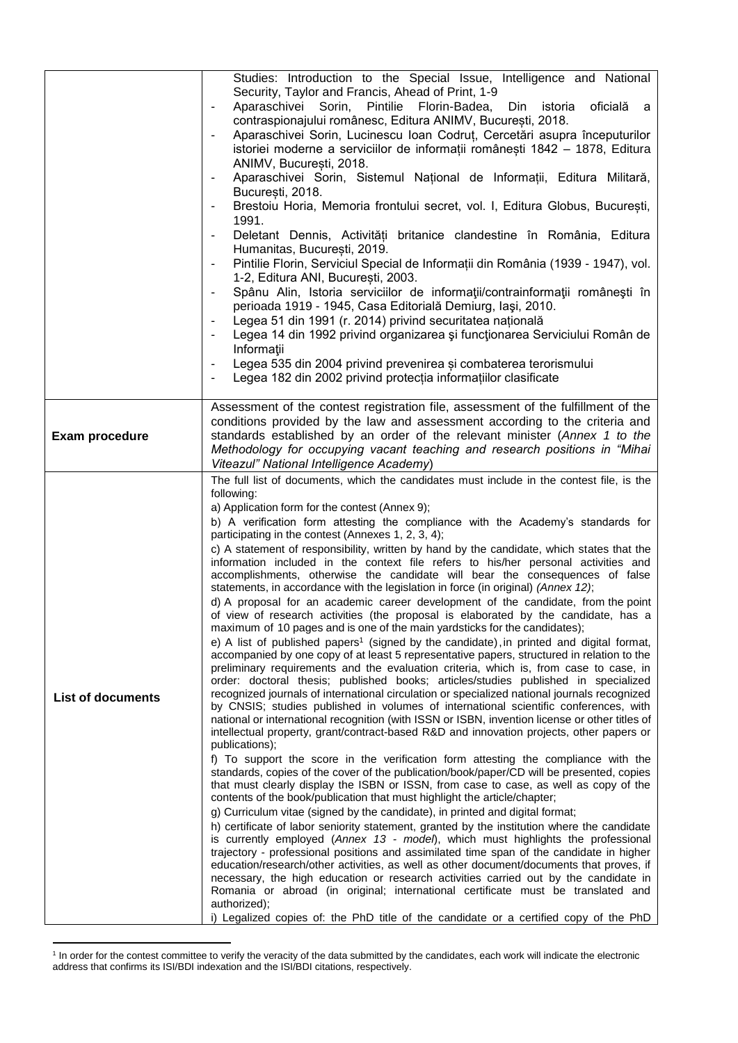|                          | Studies: Introduction to the Special Issue, Intelligence and National                                                                                                                  |
|--------------------------|----------------------------------------------------------------------------------------------------------------------------------------------------------------------------------------|
|                          | Security, Taylor and Francis, Ahead of Print, 1-9<br>Aparaschivei Sorin, Pintilie Florin-Badea,<br>$\overline{\phantom{a}}$                                                            |
|                          | Din<br>istoria<br>oficială a<br>contraspionajului românesc, Editura ANIMV, București, 2018.                                                                                            |
|                          | Aparaschivei Sorin, Lucinescu Ioan Codrut, Cercetări asupra începuturilor<br>$\blacksquare$                                                                                            |
|                          | istoriei moderne a serviciilor de informații românești 1842 - 1878, Editura<br>ANIMV, București, 2018.                                                                                 |
|                          | Aparaschivei Sorin, Sistemul Național de Informații, Editura Militară,<br>București, 2018.                                                                                             |
|                          | Brestoiu Horia, Memoria frontului secret, vol. I, Editura Globus, București,<br>1991.                                                                                                  |
|                          | Deletant Dennis, Activități britanice clandestine în România, Editura<br>Humanitas, București, 2019.                                                                                   |
|                          | Pintilie Florin, Serviciul Special de Informații din România (1939 - 1947), vol.<br>1-2, Editura ANI, București, 2003.                                                                 |
|                          | Spânu Alin, Istoria serviciilor de informații/contrainformații românești în<br>$\overline{\phantom{0}}$<br>perioada 1919 - 1945, Casa Editorială Demiurg, Iași, 2010.                  |
|                          | Legea 51 din 1991 (r. 2014) privind securitatea națională                                                                                                                              |
|                          | Legea 14 din 1992 privind organizarea și funcționarea Serviciului Român de<br>Informații                                                                                               |
|                          | Legea 535 din 2004 privind prevenirea și combaterea terorismului                                                                                                                       |
|                          | Legea 182 din 2002 privind protecția informațiilor clasificate                                                                                                                         |
|                          | Assessment of the contest registration file, assessment of the fulfillment of the                                                                                                      |
|                          | conditions provided by the law and assessment according to the criteria and<br>standards established by an order of the relevant minister (Annex 1 to the                              |
| Exam procedure           | Methodology for occupying vacant teaching and research positions in "Mihai                                                                                                             |
|                          | Viteazul" National Intelligence Academy)<br>The full list of documents, which the candidates must include in the contest file, is the                                                  |
|                          | following:                                                                                                                                                                             |
|                          | a) Application form for the contest (Annex 9);<br>b) A verification form attesting the compliance with the Academy's standards for                                                     |
|                          | participating in the contest (Annexes 1, 2, 3, 4);                                                                                                                                     |
|                          | c) A statement of responsibility, written by hand by the candidate, which states that the                                                                                              |
|                          | information included in the context file refers to his/her personal activities and<br>accomplishments, otherwise the candidate will bear the consequences of false                     |
|                          | statements, in accordance with the legislation in force (in original) (Annex 12);<br>d) A proposal for an academic career development of the candidate, from the point                 |
| <b>List of documents</b> | of view of research activities (the proposal is elaborated by the candidate, has a                                                                                                     |
|                          | maximum of 10 pages and is one of the main yardsticks for the candidates);<br>e) A list of published papers <sup>1</sup> (signed by the candidate), in printed and digital format,     |
|                          | accompanied by one copy of at least 5 representative papers, structured in relation to the                                                                                             |
|                          | preliminary requirements and the evaluation criteria, which is, from case to case, in<br>order: doctoral thesis; published books; articles/studies published in specialized            |
|                          | recognized journals of international circulation or specialized national journals recognized                                                                                           |
|                          | by CNSIS; studies published in volumes of international scientific conferences, with<br>national or international recognition (with ISSN or ISBN, invention license or other titles of |
|                          | intellectual property, grant/contract-based R&D and innovation projects, other papers or<br>publications);                                                                             |
|                          | f) To support the score in the verification form attesting the compliance with the<br>standards, copies of the cover of the publication/book/paper/CD will be presented, copies        |
|                          | that must clearly display the ISBN or ISSN, from case to case, as well as copy of the<br>contents of the book/publication that must highlight the article/chapter;                     |
|                          | g) Curriculum vitae (signed by the candidate), in printed and digital format;                                                                                                          |
|                          | h) certificate of labor seniority statement, granted by the institution where the candidate<br>is currently employed (Annex 13 - model), which must highlights the professional        |
|                          | trajectory - professional positions and assimilated time span of the candidate in higher                                                                                               |
|                          | education/research/other activities, as well as other document/documents that proves, if<br>necessary, the high education or research activities carried out by the candidate in       |
|                          | Romania or abroad (in original; international certificate must be translated and<br>authorized);                                                                                       |
|                          | i) Legalized copies of: the PhD title of the candidate or a certified copy of the PhD                                                                                                  |

 1 In order for the contest committee to verify the veracity of the data submitted by the candidates, each work will indicate the electronic address that confirms its ISI/BDI indexation and the ISI/BDI citations, respectively.